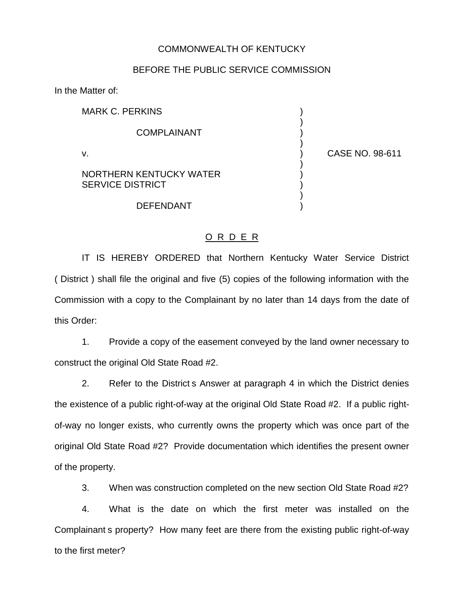## COMMONWEALTH OF KENTUCKY

## BEFORE THE PUBLIC SERVICE COMMISSION

In the Matter of:

MARK C. PERKINS **COMPLAINANT** v. ) CASE NO. 98-611 NORTHERN KENTUCKY WATER  $($ SERVICE DISTRICT (2002)

**DEFENDANT** 

)

)

)

)

## O R D E R

IT IS HEREBY ORDERED that Northern Kentucky Water Service District ( District ) shall file the original and five (5) copies of the following information with the Commission with a copy to the Complainant by no later than 14 days from the date of this Order:

1. Provide a copy of the easement conveyed by the land owner necessary to construct the original Old State Road #2.

2. Refer to the District s Answer at paragraph 4 in which the District denies the existence of a public right-of-way at the original Old State Road #2. If a public rightof-way no longer exists, who currently owns the property which was once part of the original Old State Road #2? Provide documentation which identifies the present owner of the property.

3. When was construction completed on the new section Old State Road #2?

4. What is the date on which the first meter was installed on the Complainant s property? How many feet are there from the existing public right-of-way to the first meter?